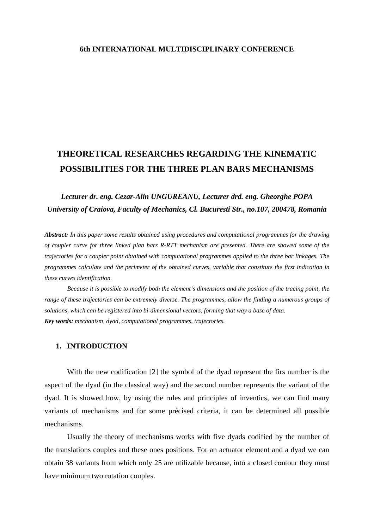# **6th INTERNATIONAL MULTIDISCIPLINARY CONFERENCE**

# **THEORETICAL RESEARCHES REGARDING THE KINEMATIC POSSIBILITIES FOR THE THREE PLAN BARS MECHANISMS**

# *Lecturer dr. eng. Cezar-Alin UNGUREANU, Lecturer drd. eng. Gheorghe POPA University of Craiova, Faculty of Mechanics, Cl. Bucuresti Str., no.107, 200478, Romania*

*Abstract: In this paper some results obtained using procedures and computational programmes for the drawing of coupler curve for three linked plan bars R-RTT mechanism are presented. There are showed some of the trajectories for a coupler point obtained with computational programmes applied to the three bar linkages. The programmes calculate and the perimeter of the obtained curves, variable that constitute the first indication in these curves identification.* 

*Because it is possible to modify both the element's dimensions and the position of the tracing point, the range of these trajectories can be extremely diverse. The programmes, allow the finding a numerous groups of solutions, which can be registered into bi-dimensional vectors, forming that way a base of data. Key words: mechanism, dyad, computational programmes, trajectories.* 

#### **1. INTRODUCTION**

With the new codification [2] the symbol of the dyad represent the firs number is the aspect of the dyad (in the classical way) and the second number represents the variant of the dyad. It is showed how, by using the rules and principles of inventics, we can find many variants of mechanisms and for some précised criteria, it can be determined all possible mechanisms.

Usually the theory of mechanisms works with five dyads codified by the number of the translations couples and these ones positions. For an actuator element and a dyad we can obtain 38 variants from which only 25 are utilizable because, into a closed contour they must have minimum two rotation couples.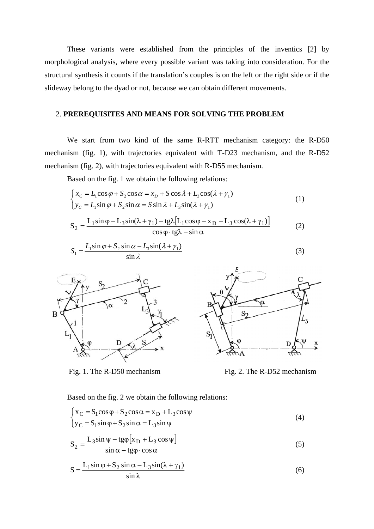These variants were established from the principles of the inventics [2] by morphological analysis, where every possible variant was taking into consideration. For the structural synthesis it counts if the translation's couples is on the left or the right side or if the slideway belong to the dyad or not, because we can obtain different movements.

# 2. **PREREQUISITES AND MEANS FOR SOLVING THE PROBLEM**

We start from two kind of the same R-RTT mechanism category: the R-D50 mechanism (fig. 1), with trajectories equivalent with T-D23 mechanism, and the R-D52 mechanism (fig. 2), with trajectories equivalent with R-D55 mechanism.

Based on the fig. 1 we obtain the following relations:

$$
\begin{cases}\nx_C = L_1 \cos \varphi + S_2 \cos \alpha = x_D + S \cos \lambda + L_3 \cos(\lambda + \gamma_1) \\
y_C = L_1 \sin \varphi + S_2 \sin \alpha = S \sin \lambda + L_3 \sin(\lambda + \gamma_1)\n\end{cases} (1)
$$

$$
S_2 = \frac{L_1 \sin \varphi - L_3 \sin(\lambda + \gamma_1) - t g \lambda [L_1 \cos \varphi - x_D - L_3 \cos(\lambda + \gamma_1)]}{\cos \varphi \cdot t g \lambda - \sin \alpha}
$$
(2)

$$
S_1 = \frac{L_1 \sin \varphi + S_2 \sin \alpha - L_3 \sin(\lambda + \gamma_1)}{\sin \lambda}
$$
 (3)



Fig. 1. The R-D50 mechanism Fig. 2. The R-D52 mechanism

 $\overline{\mathcal{L}}$ 

Based on the fig. 2 we obtain the following relations:

$$
\begin{cases}\nx_C = S_1 \cos \varphi + S_2 \cos \alpha = x_D + L_3 \cos \psi \\
y_C = S_1 \sin \varphi + S_2 \sin \alpha = L_3 \sin \psi\n\end{cases}
$$
\n(4)

$$
S_2 = \frac{L_3 \sin \psi - t g \varphi [x_D + L_3 \cos \psi]}{\sin \alpha - t g \varphi \cdot \cos \alpha}
$$
 (5)

$$
S = \frac{L_1 \sin \varphi + S_2 \sin \alpha - L_3 \sin(\lambda + \gamma_1)}{\sin \lambda}
$$
 (6)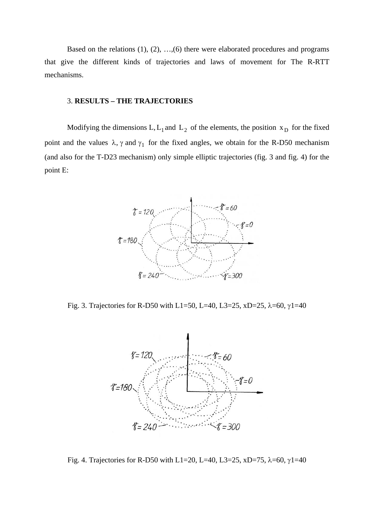Based on the relations  $(1), (2), ..., (6)$  there were elaborated procedures and programs that give the different kinds of trajectories and laws of movement for The R-RTT mechanisms.

# 3. **RESULTS – THE TRAJECTORIES**

Modifying the dimensions L,  $L_1$  and  $L_2$  of the elements, the position  $x_D$  for the fixed point and the values  $\lambda$ ,  $\gamma$  and  $\gamma_1$  for the fixed angles, we obtain for the R-D50 mechanism (and also for the T-D23 mechanism) only simple elliptic trajectories (fig. 3 and fig. 4) for the point E:



Fig. 3. Trajectories for R-D50 with L1=50, L=40, L3=25, xD=25, λ=60, γ1=40



Fig. 4. Trajectories for R-D50 with L1=20, L=40, L3=25, xD=75, λ=60, γ1=40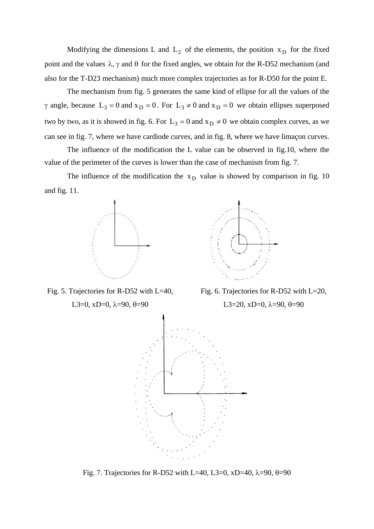Modifying the dimensions L and  $L_2$  of the elements, the position  $x_D$  for the fixed point and the values  $\lambda$ ,  $\gamma$  and  $\theta$  for the fixed angles, we obtain for the R-D52 mechanism (and also for the T-D23 mechanism) much more complex trajectories as for R-D50 for the point E.

The mechanism from fig. 5 generates the same kind of ellipse for all the values of the γ angle, because  $L_3 = 0$  and  $x_D = 0$ . For  $L_3 \neq 0$  and  $x_D = 0$  we obtain ellipses superposed two by two, as it is showed in fig. 6. For  $L_3 = 0$  and  $x_D \neq 0$  we obtain complex curves, as we can see in fig. 7, where we have cardiode curves, and in fig. 8, where we have limaçon curves.

The influence of the modification the L value can be observed in fig.10, where the value of the perimeter of the curves is lower than the case of mechanism from fig. 7.

The influence of the modification the  $x<sub>D</sub>$  value is showed by comparison in fig. 10 and fig. 11.



Fig. 5. Trajectories for R-D52 with L=40,

L3=0, xD=0,  $\lambda$ =90,  $\theta$ =90



Fig. 6. Trajectories for R-D52 with L=20,

L3=20, xD=0,  $\lambda$ =90,  $\theta$ =90



Fig. 7. Trajectories for R-D52 with L=40, L3=0, xD=40,  $\lambda$ =90,  $\theta$ =90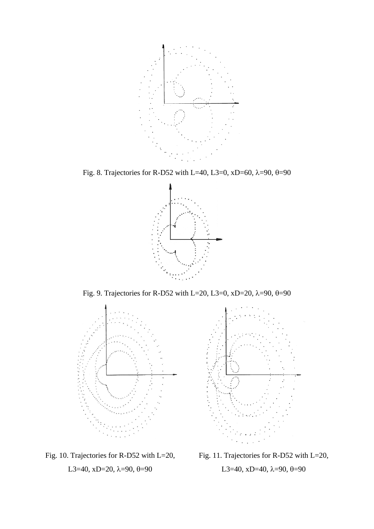

Fig. 8. Trajectories for R-D52 with L=40, L3=0, xD=60,  $\lambda$ =90,  $\theta$ =90



Fig. 9. Trajectories for R-D52 with L=20, L3=0, xD=20,  $\lambda$ =90,  $\theta$ =90





Fig. 10. Trajectories for R-D52 with L=20, L3=40, xD=20,  $\lambda$ =90,  $\theta$ =90